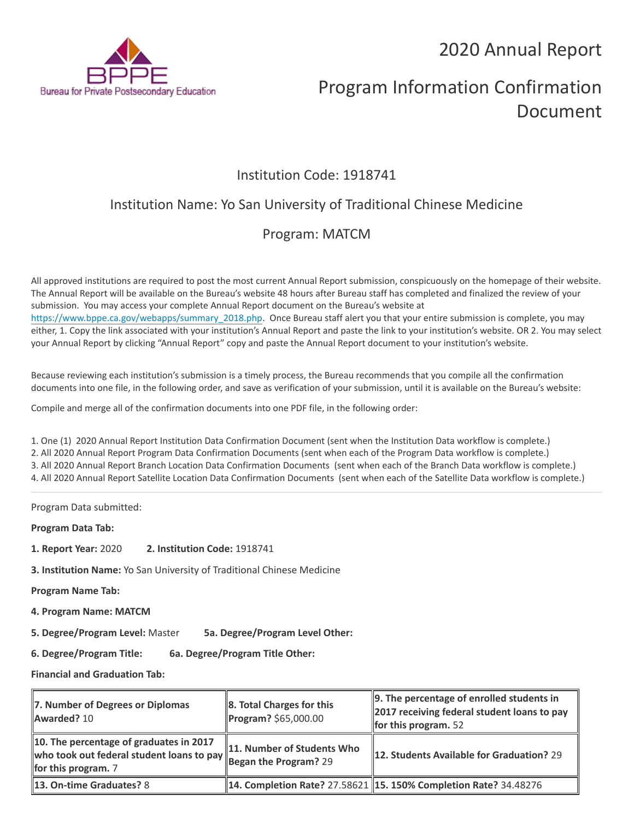2020 Annual Report



# Program Information Confirmation Document

# Institution Code: 1918741

# Institution Name: Yo San University of Traditional Chinese Medicine

# Program: MATCM

All approved institutions are required to post the most current Annual Report submission, conspicuously on the homepage of their website. The Annual Report will be available on the Bureau's website 48 hours after Bureau staff has completed and finalized the review of your submission. You may access your complete Annual Report document on the Bureau's website at [https://www.bppe.ca.gov/webapps/summary\\_2018.php.](https://www.bppe.ca.gov/webapps/summary_2018.php) Once Bureau staff alert you that your entire submission is complete, you may either, 1. Copy the link associated with your institution's Annual Report and paste the link to your institution's website. OR 2. You may select your Annual Report by clicking "Annual Report" copy and paste the Annual Report document to your institution's website.

Because reviewing each institution's submission is a timely process, the Bureau recommends that you compile all the confirmation documents into one file, in the following order, and save as verification of your submission, until it is available on the Bureau's website:

Compile and merge all of the confirmation documents into one PDF file, in the following order:

1. One (1) 2020 Annual Report Institution Data Confirmation Document (sent when the Institution Data workflow is complete.) 2. All 2020 Annual Report Program Data Confirmation Documents (sent when each of the Program Data workflow is complete.) 3. All 2020 Annual Report Branch Location Data Confirmation Documents (sent when each of the Branch Data workflow is complete.) 4. All 2020 Annual Report Satellite Location Data Confirmation Documents (sent when each of the Satellite Data workflow is complete.)

Program Data submitted:

**Program Data Tab:**

- **1. Report Year:** 2020 **2. Institution Code:** 1918741
- **3. Institution Name:** Yo San University of Traditional Chinese Medicine

**Program Name Tab:**

**4. Program Name: MATCM** 

**5. Degree/Program Level:** Master **5a. Degree/Program Level Other:**

**6. Degree/Program Title: 6a. Degree/Program Title Other:**

**Financial and Graduation Tab:**

| 7. Number of Degrees or Diplomas<br>Awarded? 10                                                                                     | 8. Total Charges for this<br>Program? \$65,000.00 | 9. The percentage of enrolled students in<br>2017 receiving federal student loans to pay<br>for this program. $52$ |
|-------------------------------------------------------------------------------------------------------------------------------------|---------------------------------------------------|--------------------------------------------------------------------------------------------------------------------|
| 10. The percentage of graduates in 2017<br>who took out federal student loans to pay Began the Program? 29<br>for this program. $7$ | 11. Number of Students Who                        | 12. Students Available for Graduation? 29                                                                          |
| <b>13. On-time Graduates? 8</b>                                                                                                     |                                                   | 14. Completion Rate? 27.58621 15. 150% Completion Rate? 34.48276                                                   |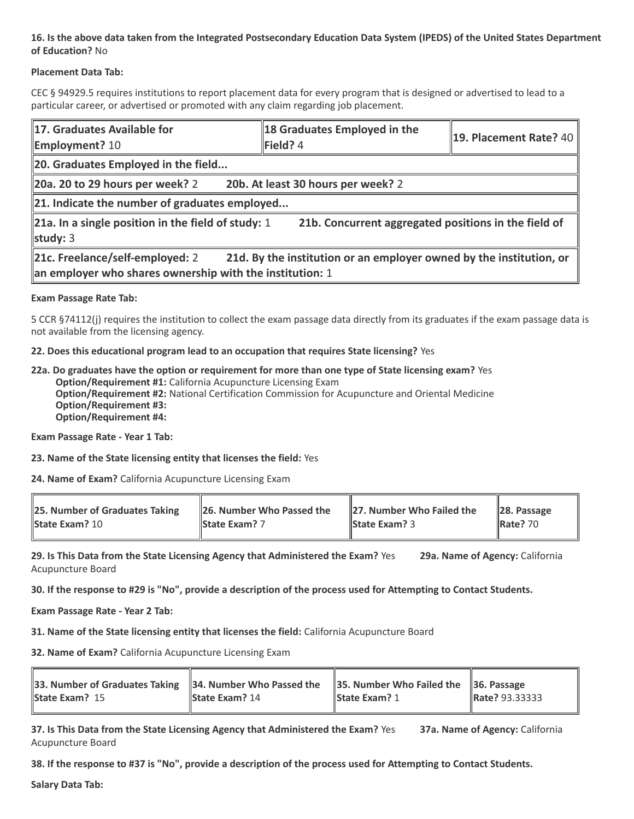## **16. Is the above data taken from the Integrated Postsecondary Education Data System (IPEDS) of the United States Department of Education?** No

### **Placement Data Tab:**

CEC § 94929.5 requires institutions to report placement data for every program that is designed or advertised to lead to a particular career, or advertised or promoted with any claim regarding job placement.

| 17. Graduates Available for<br><b>Employment? 10</b>                                                                                                               | 18 Graduates Employed in the<br>Field? 4 | $\parallel$ 19. Placement Rate? 40 |  |  |
|--------------------------------------------------------------------------------------------------------------------------------------------------------------------|------------------------------------------|------------------------------------|--|--|
| 20. Graduates Employed in the field                                                                                                                                |                                          |                                    |  |  |
| $\vert$ 20a. 20 to 29 hours per week? 2                                                                                                                            | 20b. At least 30 hours per week? 2       |                                    |  |  |
| $\ $ 21. Indicate the number of graduates employed                                                                                                                 |                                          |                                    |  |  |
| 21a. In a single position in the field of study: 1<br>21b. Concurrent aggregated positions in the field of<br>study: $3$                                           |                                          |                                    |  |  |
| 21d. By the institution or an employer owned by the institution, or<br>21c. Freelance/self-employed: 2<br>an employer who shares ownership with the institution: 1 |                                          |                                    |  |  |

### **Exam Passage Rate Tab:**

5 CCR §74112(j) requires the institution to collect the exam passage data directly from its graduates if the exam passage data is not available from the licensing agency.

### **22. Does this educational program lead to an occupation that requires State licensing?** Yes

**22a. Do graduates have the option or requirement for more than one type of State licensing exam?** Yes **Option/Requirement #1:** California Acupuncture Licensing Exam **Option/Requirement #2:** National Certification Commission for Acupuncture and Oriental Medicine **Option/Requirement #3: Option/Requirement #4:**

**Exam Passage Rate - Year 1 Tab:**

**23. Name of the State licensing entity that licenses the field:** Yes

**24. Name of Exam?** California Acupuncture Licensing Exam

| <b>25. Number of Graduates Taking</b> | 26. Number Who Passed the | 27. Number Who Failed the | $\ 28.$ Passage |
|---------------------------------------|---------------------------|---------------------------|-----------------|
| <b>State Exam? 10</b>                 | <b>State Exam?</b> 7      | <b>State Exam?</b> 3      | <b>Rate? 70</b> |

**29. Is This Data from the State Licensing Agency that Administered the Exam?** Yes **29a. Name of Agency:** California Acupuncture Board

**30. If the response to #29 is "No", provide a description of the process used for Attempting to Contact Students.**

**Exam Passage Rate - Year 2 Tab:**

**31. Name of the State licensing entity that licenses the field:** California Acupuncture Board

**32. Name of Exam?** California Acupuncture Licensing Exam

| 33. Number of Graduates Taking 34. Number Who Passed the 35. Number Who Failed the 36. Passage |                       |                      |                |
|------------------------------------------------------------------------------------------------|-----------------------|----------------------|----------------|
| <b>State Exam? 15</b>                                                                          | <b>State Exam? 14</b> | <b>State Exam? 1</b> | Rate? 93.33333 |

**37. Is This Data from the State Licensing Agency that Administered the Exam?** Yes **37a. Name of Agency:** California Acupuncture Board

**38. If the response to #37 is "No", provide a description of the process used for Attempting to Contact Students.** 

**Salary Data Tab:**